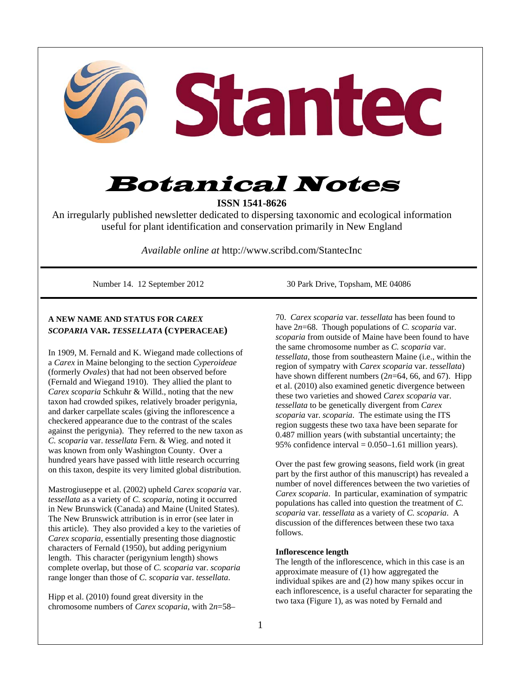

# Botanical Notes

**ISSN 1541-8626** 

An irregularly published newsletter dedicated to dispersing taxonomic and ecological information useful for plant identification and conservation primarily in New England

*Available online at* http://www.scribd.com/StantecInc

## **A NEW NAME AND STATUS FOR** *CAREX SCOPARIA* **VAR.** *TESSELLATA* **(CYPERACEAE)**

In 1909, M. Fernald and K. Wiegand made collections of a *Carex* in Maine belonging to the section *Cyperoideae* (formerly *Ovales*) that had not been observed before (Fernald and Wiegand 1910). They allied the plant to *Carex scoparia* Schkuhr & Willd., noting that the new taxon had crowded spikes, relatively broader perigynia, and darker carpellate scales (giving the inflorescence a checkered appearance due to the contrast of the scales against the perigynia). They referred to the new taxon as *C. scoparia* var. *tessellata* Fern. & Wieg. and noted it was known from only Washington County. Over a hundred years have passed with little research occurring on this taxon, despite its very limited global distribution.

Mastrogiuseppe et al. (2002) upheld *Carex scoparia* var. *tessellata* as a variety of *C. scoparia*, noting it occurred in New Brunswick (Canada) and Maine (United States). The New Brunswick attribution is in error (see later in this article). They also provided a key to the varieties of *Carex scoparia*, essentially presenting those diagnostic characters of Fernald (1950), but adding perigynium length. This character (perigynium length) shows complete overlap, but those of *C. scoparia* var. *scoparia*  range longer than those of *C. scoparia* var. *tessellata*.

Hipp et al. (2010) found great diversity in the chromosome numbers of *Carex scoparia*, with 2*n*=58–

Number 14. 12 September 2012 30 Park Drive, Topsham, ME 04086

70. *Carex scoparia* var. *tessellata* has been found to have 2*n*=68. Though populations of *C. scoparia* var. *scoparia* from outside of Maine have been found to have the same chromosome number as *C. scoparia* var. *tessellata*, those from southeastern Maine (i.e., within the region of sympatry with *Carex scoparia* var. *tessellata*) have shown different numbers (2*n*=64, 66, and 67). Hipp et al. (2010) also examined genetic divergence between these two varieties and showed *Carex scoparia* var. *tessellata* to be genetically divergent from *Carex scoparia* var. *scoparia*. The estimate using the ITS region suggests these two taxa have been separate for 0.487 million years (with substantial uncertainty; the 95% confidence interval  $= 0.050-1.61$  million years).

Over the past few growing seasons, field work (in great part by the first author of this manuscript) has revealed a number of novel differences between the two varieties of *Carex scoparia*. In particular, examination of sympatric populations has called into question the treatment of *C. scoparia* var. *tessellata* as a variety of *C. scoparia*. A discussion of the differences between these two taxa follows.

## **Inflorescence length**

The length of the inflorescence, which in this case is an approximate measure of (1) how aggregated the individual spikes are and (2) how many spikes occur in each inflorescence, is a useful character for separating the two taxa (Figure 1), as was noted by Fernald and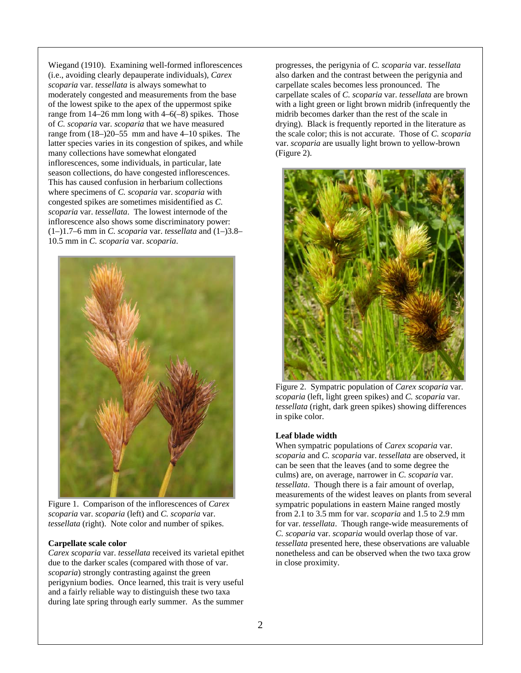Wiegand (1910). Examining well-formed inflorescences (i.e., avoiding clearly depauperate individuals), *Carex scoparia* var. *tessellata* is always somewhat to moderately congested and measurements from the base of the lowest spike to the apex of the uppermost spike range from 14–26 mm long with 4–6(–8) spikes. Those of *C. scoparia* var. *scoparia* that we have measured range from (18–)20–55 mm and have 4–10 spikes. The latter species varies in its congestion of spikes, and while many collections have somewhat elongated inflorescences, some individuals, in particular, late season collections, do have congested inflorescences. This has caused confusion in herbarium collections where specimens of *C. scoparia* var. *scoparia* with congested spikes are sometimes misidentified as *C. scoparia* var. *tessellata*. The lowest internode of the inflorescence also shows some discriminatory power: (1–)1.7–6 mm in *C. scoparia* var. *tessellata* and (1–)3.8– 10.5 mm in *C. scoparia* var. *scoparia*.



Figure 1. Comparison of the inflorescences of *Carex scoparia* var. *scoparia* (left) and *C. scoparia* var. *tessellata* (right). Note color and number of spikes.

#### **Carpellate scale color**

*Carex scoparia* var. *tessellata* received its varietal epithet due to the darker scales (compared with those of var. *scoparia*) strongly contrasting against the green perigynium bodies. Once learned, this trait is very useful and a fairly reliable way to distinguish these two taxa during late spring through early summer. As the summer

progresses, the perigynia of *C. scoparia* var. *tessellata* also darken and the contrast between the perigynia and carpellate scales becomes less pronounced. The carpellate scales of *C. scoparia* var. *tessellata* are brown with a light green or light brown midrib (infrequently the midrib becomes darker than the rest of the scale in drying). Black is frequently reported in the literature as the scale color; this is not accurate. Those of *C. scoparia*  var. *scoparia* are usually light brown to yellow-brown (Figure 2).



Figure 2. Sympatric population of *Carex scoparia* var. *scoparia* (left, light green spikes) and *C. scoparia* var. *tessellata* (right, dark green spikes) showing differences in spike color.

#### **Leaf blade width**

When sympatric populations of *Carex scoparia* var. *scoparia* and *C. scoparia* var. *tessellata* are observed, it can be seen that the leaves (and to some degree the culms) are, on average, narrower in *C. scoparia* var. *tessellata*. Though there is a fair amount of overlap, measurements of the widest leaves on plants from several sympatric populations in eastern Maine ranged mostly from 2.1 to 3.5 mm for var. *scoparia* and 1.5 to 2.9 mm for var. *tessellata*. Though range-wide measurements of *C. scoparia* var. *scoparia* would overlap those of var. *tessellata* presented here, these observations are valuable nonetheless and can be observed when the two taxa grow in close proximity.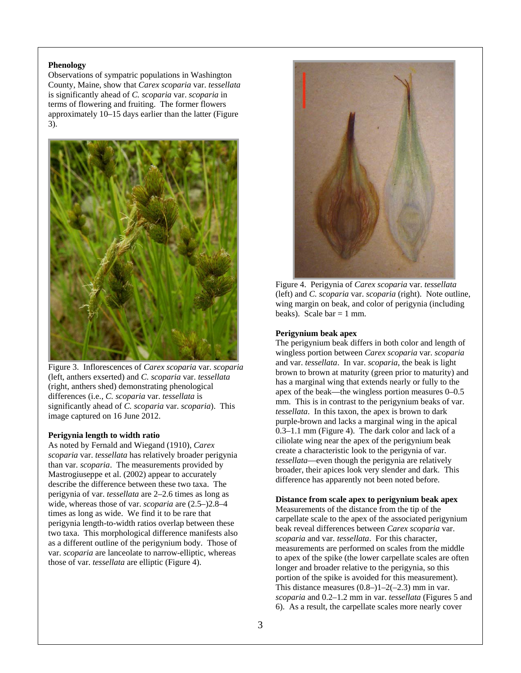## **Phenology**

Observations of sympatric populations in Washington County, Maine, show that *Carex scoparia* var. *tessellata* is significantly ahead of *C. scoparia* var. *scoparia* in terms of flowering and fruiting. The former flowers approximately 10–15 days earlier than the latter (Figure 3).



Figure 3. Inflorescences of *Carex scoparia* var. *scoparia*  (left, anthers exserted) and *C. scoparia* var. *tessellata* (right, anthers shed) demonstrating phenological differences (i.e., *C. scoparia* var. *tessellata* is significantly ahead of *C. scoparia* var. *scoparia*). This image captured on 16 June 2012.

## **Perigynia length to width ratio**

As noted by Fernald and Wiegand (1910), *Carex scoparia* var. *tessellata* has relatively broader perigynia than var. *scoparia*. The measurements provided by Mastrogiuseppe et al. (2002) appear to accurately describe the difference between these two taxa. The perigynia of var. *tessellata* are 2–2.6 times as long as wide, whereas those of var. *scoparia* are (2.5–)2.8–4 times as long as wide. We find it to be rare that perigynia length-to-width ratios overlap between these two taxa. This morphological difference manifests also as a different outline of the perigynium body. Those of var. *scoparia* are lanceolate to narrow-elliptic, whereas those of var. *tessellata* are elliptic (Figure 4).



Figure 4. Perigynia of *Carex scoparia* var. *tessellata*  (left) and *C. scoparia* var. *scoparia* (right). Note outline, wing margin on beak, and color of perigynia (including beaks). Scale  $bar = 1$  mm.

#### **Perigynium beak apex**

The perigynium beak differs in both color and length of wingless portion between *Carex scoparia* var. *scoparia*  and var. *tessellata*. In var. *scoparia*, the beak is light brown to brown at maturity (green prior to maturity) and has a marginal wing that extends nearly or fully to the apex of the beak—the wingless portion measures 0–0.5 mm. This is in contrast to the perigynium beaks of var. *tessellata*. In this taxon, the apex is brown to dark purple-brown and lacks a marginal wing in the apical 0.3–1.1 mm (Figure 4). The dark color and lack of a ciliolate wing near the apex of the perigynium beak create a characteristic look to the perigynia of var. *tessellata*—even though the perigynia are relatively broader, their apices look very slender and dark. This difference has apparently not been noted before.

## **Distance from scale apex to perigynium beak apex**

Measurements of the distance from the tip of the carpellate scale to the apex of the associated perigynium beak reveal differences between *Carex scoparia* var. *scoparia* and var. *tessellata*. For this character, measurements are performed on scales from the middle to apex of the spike (the lower carpellate scales are often longer and broader relative to the perigynia, so this portion of the spike is avoided for this measurement). This distance measures  $(0.8-11-2(-2.3))$  mm in var. *scoparia* and 0.2–1.2 mm in var. *tessellata* (Figures 5 and 6). As a result, the carpellate scales more nearly cover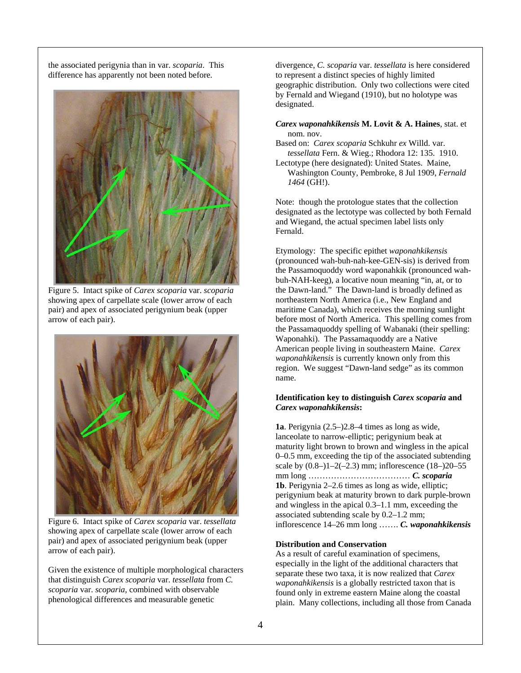the associated perigynia than in var. *scoparia*. This difference has apparently not been noted before.



Figure 5. Intact spike of *Carex scoparia* var. *scoparia*  showing apex of carpellate scale (lower arrow of each pair) and apex of associated perigynium beak (upper arrow of each pair).



Figure 6. Intact spike of *Carex scoparia* var. *tessellata* showing apex of carpellate scale (lower arrow of each pair) and apex of associated perigynium beak (upper arrow of each pair).

Given the existence of multiple morphological characters that distinguish *Carex scoparia* var. *tessellata* from *C. scoparia* var. *scoparia*, combined with observable phenological differences and measurable genetic

divergence, *C. scoparia* var. *tessellata* is here considered to represent a distinct species of highly limited geographic distribution. Only two collections were cited by Fernald and Wiegand (1910), but no holotype was designated.

*Carex waponahkikensis* **M. Lovit & A. Haines**, stat. et nom. nov.

- Based on: *Carex scoparia* Schkuhr *ex* Willd. var. *tessellata* Fern. & Wieg.; Rhodora 12: 135. 1910.
- Lectotype (here designated): United States. Maine, Washington County, Pembroke, 8 Jul 1909, *Fernald 1464* (GH!).

Note: though the protologue states that the collection designated as the lectotype was collected by both Fernald and Wiegand, the actual specimen label lists only Fernald.

Etymology: The specific epithet *waponahkikensis* (pronounced wah-buh-nah-kee-GEN-sis) is derived from the Passamoquoddy word waponahkik (pronounced wahbuh-NAH-keeg), a locative noun meaning "in, at, or to the Dawn-land." The Dawn-land is broadly defined as northeastern North America (i.e., New England and maritime Canada), which receives the morning sunlight before most of North America. This spelling comes from the Passamaquoddy spelling of Wabanaki (their spelling: Waponahki). The Passamaquoddy are a Native American people living in southeastern Maine. *Carex waponahkikensis* is currently known only from this region. We suggest "Dawn-land sedge" as its common name.

## **Identification key to distinguish** *Carex scoparia* **and**  *Carex waponahkikensis***:**

**1a**. Perigynia (2.5–)2.8–4 times as long as wide, lanceolate to narrow-elliptic; perigynium beak at maturity light brown to brown and wingless in the apical 0–0.5 mm, exceeding the tip of the associated subtending scale by  $(0.8-11-2(-2.3)$  mm; inflorescence  $(18-20-55)$ mm long ……………………………… *C. scoparia*  **1b**. Perigynia 2–2.6 times as long as wide, elliptic; perigynium beak at maturity brown to dark purple-brown and wingless in the apical 0.3–1.1 mm, exceeding the associated subtending scale by 0.2–1.2 mm; inflorescence 14–26 mm long ……. *C. waponahkikensis* 

## **Distribution and Conservation**

As a result of careful examination of specimens, especially in the light of the additional characters that separate these two taxa, it is now realized that *Carex waponahkikensis* is a globally restricted taxon that is found only in extreme eastern Maine along the coastal plain. Many collections, including all those from Canada